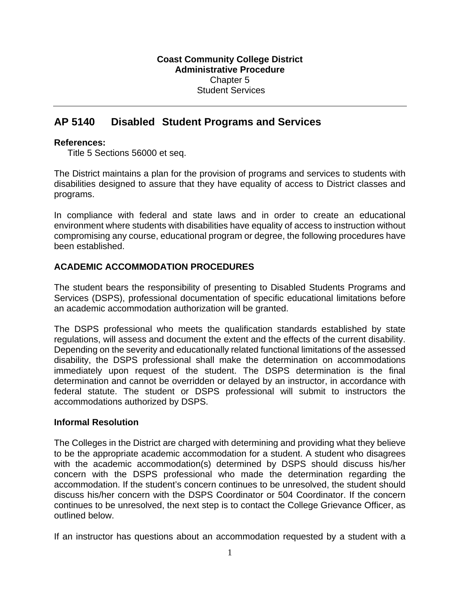# **AP 5140 Disabled Student Programs and Services**

#### **References:**

Title 5 Sections 56000 et seq.

The District maintains a plan for the provision of programs and services to students with disabilities designed to assure that they have equality of access to District classes and programs.

In compliance with federal and state laws and in order to create an educational environment where students with disabilities have equality of access to instruction without compromising any course, educational program or degree, the following procedures have been established.

## **ACADEMIC ACCOMMODATION PROCEDURES**

The student bears the responsibility of presenting to Disabled Students Programs and Services (DSPS), professional documentation of specific educational limitations before an academic accommodation authorization will be granted.

The DSPS professional who meets the qualification standards established by state regulations, will assess and document the extent and the effects of the current disability. Depending on the severity and educationally related functional limitations of the assessed disability, the DSPS professional shall make the determination on accommodations immediately upon request of the student. The DSPS determination is the final determination and cannot be overridden or delayed by an instructor, in accordance with federal statute. The student or DSPS professional will submit to instructors the accommodations authorized by DSPS.

#### **Informal Resolution**

The Colleges in the District are charged with determining and providing what they believe to be the appropriate academic accommodation for a student. A student who disagrees with the academic accommodation(s) determined by DSPS should discuss his/her concern with the DSPS professional who made the determination regarding the accommodation. If the student's concern continues to be unresolved, the student should discuss his/her concern with the DSPS Coordinator or 504 Coordinator. If the concern continues to be unresolved, the next step is to contact the College Grievance Officer, as outlined below.

If an instructor has questions about an accommodation requested by a student with a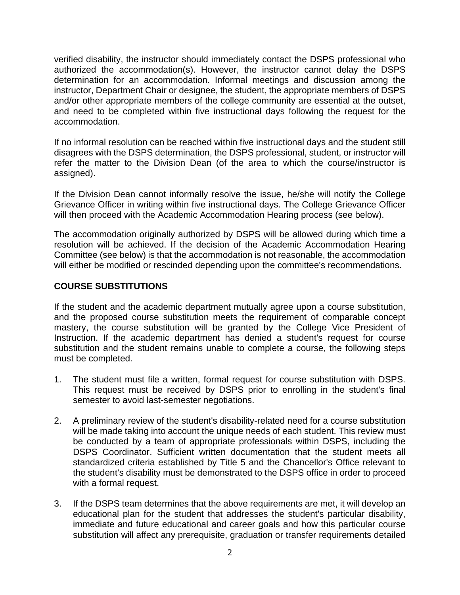verified disability, the instructor should immediately contact the DSPS professional who authorized the accommodation(s). However, the instructor cannot delay the DSPS determination for an accommodation. Informal meetings and discussion among the instructor, Department Chair or designee, the student, the appropriate members of DSPS and/or other appropriate members of the college community are essential at the outset, and need to be completed within five instructional days following the request for the accommodation.

If no informal resolution can be reached within five instructional days and the student still disagrees with the DSPS determination, the DSPS professional, student, or instructor will refer the matter to the Division Dean (of the area to which the course/instructor is assigned).

If the Division Dean cannot informally resolve the issue, he/she will notify the College Grievance Officer in writing within five instructional days. The College Grievance Officer will then proceed with the Academic Accommodation Hearing process (see below).

The accommodation originally authorized by DSPS will be allowed during which time a resolution will be achieved. If the decision of the Academic Accommodation Hearing Committee (see below) is that the accommodation is not reasonable, the accommodation will either be modified or rescinded depending upon the committee's recommendations.

## **COURSE SUBSTITUTIONS**

If the student and the academic department mutually agree upon a course substitution, and the proposed course substitution meets the requirement of comparable concept mastery, the course substitution will be granted by the College Vice President of Instruction. If the academic department has denied a student's request for course substitution and the student remains unable to complete a course, the following steps must be completed.

- 1. The student must file a written, formal request for course substitution with DSPS. This request must be received by DSPS prior to enrolling in the student's final semester to avoid last-semester negotiations.
- 2. A preliminary review of the student's disability-related need for a course substitution will be made taking into account the unique needs of each student. This review must be conducted by a team of appropriate professionals within DSPS, including the DSPS Coordinator. Sufficient written documentation that the student meets all standardized criteria established by Title 5 and the Chancellor's Office relevant to the student's disability must be demonstrated to the DSPS office in order to proceed with a formal request.
- 3. If the DSPS team determines that the above requirements are met, it will develop an educational plan for the student that addresses the student's particular disability, immediate and future educational and career goals and how this particular course substitution will affect any prerequisite, graduation or transfer requirements detailed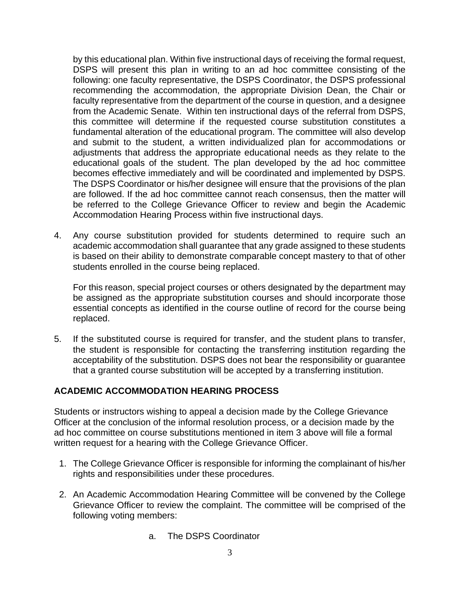by this educational plan. Within five instructional days of receiving the formal request, DSPS will present this plan in writing to an ad hoc committee consisting of the following: one faculty representative, the DSPS Coordinator, the DSPS professional recommending the accommodation, the appropriate Division Dean, the Chair or faculty representative from the department of the course in question, and a designee from the Academic Senate. Within ten instructional days of the referral from DSPS, this committee will determine if the requested course substitution constitutes a fundamental alteration of the educational program. The committee will also develop and submit to the student, a written individualized plan for accommodations or adjustments that address the appropriate educational needs as they relate to the educational goals of the student. The plan developed by the ad hoc committee becomes effective immediately and will be coordinated and implemented by DSPS. The DSPS Coordinator or his/her designee will ensure that the provisions of the plan are followed. If the ad hoc committee cannot reach consensus, then the matter will be referred to the College Grievance Officer to review and begin the Academic Accommodation Hearing Process within five instructional days.

4. Any course substitution provided for students determined to require such an academic accommodation shall guarantee that any grade assigned to these students is based on their ability to demonstrate comparable concept mastery to that of other students enrolled in the course being replaced.

For this reason, special project courses or others designated by the department may be assigned as the appropriate substitution courses and should incorporate those essential concepts as identified in the course outline of record for the course being replaced.

5. If the substituted course is required for transfer, and the student plans to transfer, the student is responsible for contacting the transferring institution regarding the acceptability of the substitution. DSPS does not bear the responsibility or guarantee that a granted course substitution will be accepted by a transferring institution.

## **ACADEMIC ACCOMMODATION HEARING PROCESS**

Students or instructors wishing to appeal a decision made by the College Grievance Officer at the conclusion of the informal resolution process, or a decision made by the ad hoc committee on course substitutions mentioned in item 3 above will file a formal written request for a hearing with the College Grievance Officer.

- 1. The College Grievance Officer is responsible for informing the complainant of his/her rights and responsibilities under these procedures.
- 2. An Academic Accommodation Hearing Committee will be convened by the College Grievance Officer to review the complaint. The committee will be comprised of the following voting members:
	- a. The DSPS Coordinator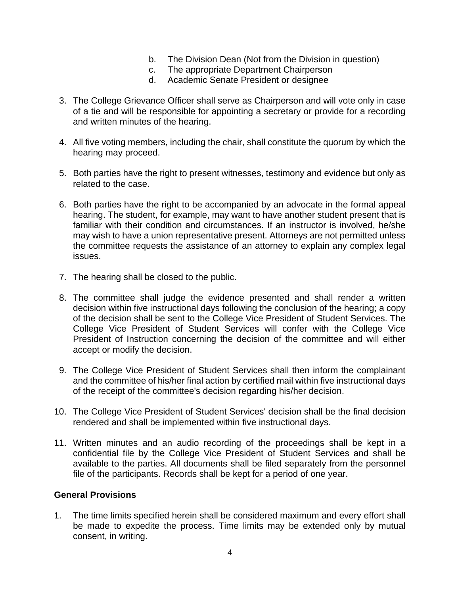- b. The Division Dean (Not from the Division in question)
- c. The appropriate Department Chairperson
- d. Academic Senate President or designee
- 3. The College Grievance Officer shall serve as Chairperson and will vote only in case of a tie and will be responsible for appointing a secretary or provide for a recording and written minutes of the hearing.
- 4. All five voting members, including the chair, shall constitute the quorum by which the hearing may proceed.
- 5. Both parties have the right to present witnesses, testimony and evidence but only as related to the case.
- 6. Both parties have the right to be accompanied by an advocate in the formal appeal hearing. The student, for example, may want to have another student present that is familiar with their condition and circumstances. If an instructor is involved, he/she may wish to have a union representative present. Attorneys are not permitted unless the committee requests the assistance of an attorney to explain any complex legal issues.
- 7. The hearing shall be closed to the public.
- 8. The committee shall judge the evidence presented and shall render a written decision within five instructional days following the conclusion of the hearing; a copy of the decision shall be sent to the College Vice President of Student Services. The College Vice President of Student Services will confer with the College Vice President of Instruction concerning the decision of the committee and will either accept or modify the decision.
- 9. The College Vice President of Student Services shall then inform the complainant and the committee of his/her final action by certified mail within five instructional days of the receipt of the committee's decision regarding his/her decision.
- 10. The College Vice President of Student Services' decision shall be the final decision rendered and shall be implemented within five instructional days.
- 11. Written minutes and an audio recording of the proceedings shall be kept in a confidential file by the College Vice President of Student Services and shall be available to the parties. All documents shall be filed separately from the personnel file of the participants. Records shall be kept for a period of one year.

## **General Provisions**

1. The time limits specified herein shall be considered maximum and every effort shall be made to expedite the process. Time limits may be extended only by mutual consent, in writing.